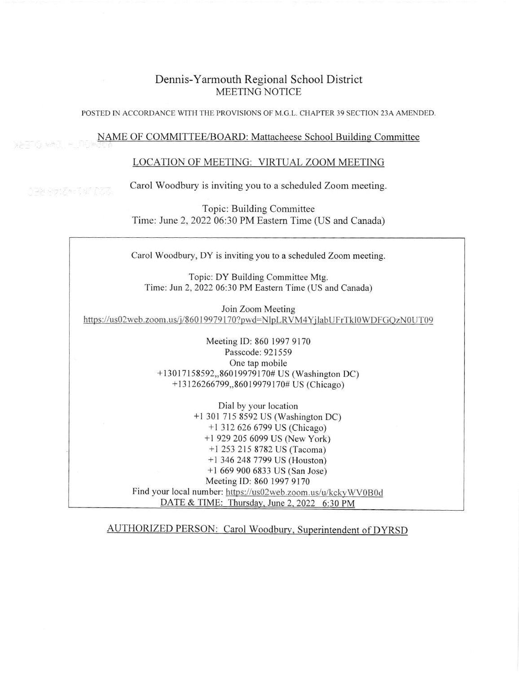## Dennis-Yarmouth Regional School District MEETING NOTICE

POSTED IN ACCORDANCE WITH THE PROVISIONS OF M.G.L. CHAPTER 39 SECTION 23A AMENDED.

## NAME OF COMMITTEE/BOARD: Mattacheese School Building Committee

## LOCATION OF MEETING: VIRTUAL ZOOM MEETING

Carol Woodbury is inviting you to a scheduled Zoom meeting

178 SpiZed MOZZ

Topic: Building Committee Time: June 2,2022 06:30 PM Eastem Time (US and Canada)

Carol Woodbury, DY is inviting you to a scheduled Zoom meeting

Topic: DY Building Committee Mtg. Time: Jun 2, 2022 06:30 PM Eastern Time (US and Canada)

Join Zoom Meeting https://us02web.zoom.us/j/86019979170?pwd=NlpLRVM4YjlabUFrTkl0WDFGOzN0UT09

> Meeting [D: 860 1997 9170 Passcode: 921559 One tap mobile + 13017158592,,8 6019979170# US (Washington DC) +13 126266799,,86019979 170# US (Chicago)

DATE & TIME: Thursday, June 2, 2022 6:30 PM Dial by your location +l 301 715 8592 US (Washington DC) +l 312 626 6799 US (Chicago) +l 929 205 6099 US (New York) +l 253 215 8782 US (Tacoma) +l 346 248 7799 US (Houston) +l 669 900 6833 US (San Jose) Meeting ID: 860 1997 9170 Find your local number: https://us02web.zoom.us/u/kckyWV0B0d

AUTHORIZED PERSON: Carol Woodbury, Superintendent of DYRSD